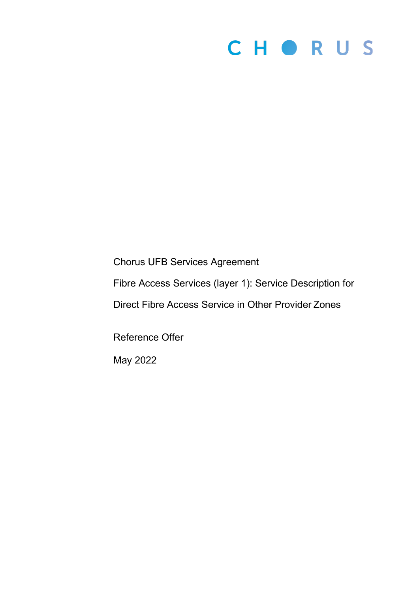# CHORUS

Chorus UFB Services Agreement

Fibre Access Services (layer 1): Service Description for

Direct Fibre Access Service in Other Provider Zones

Reference Offer

May 2022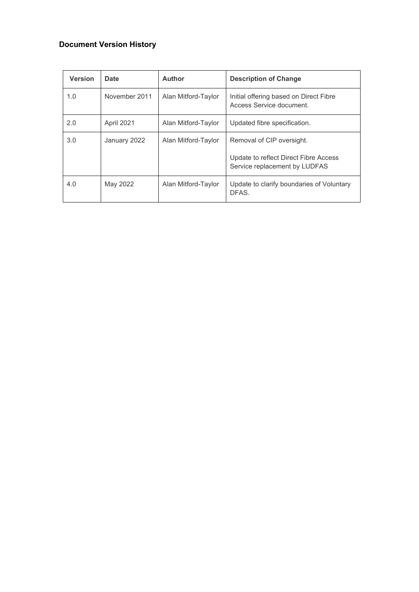## **Document Version History**

| <b>Version</b> | Date          | <b>Author</b>       | <b>Description of Change</b>                                                                        |
|----------------|---------------|---------------------|-----------------------------------------------------------------------------------------------------|
| 1.0            | November 2011 | Alan Mitford-Taylor | Initial offering based on Direct Fibre<br>Access Service document.                                  |
| 2.0            | April 2021    | Alan Mitford-Taylor | Updated fibre specification.                                                                        |
| 3.0            | January 2022  | Alan Mitford-Taylor | Removal of CIP oversight.<br>Update to reflect Direct Fibre Access<br>Service replacement by LUDFAS |
| 4.0            | May 2022      | Alan Mitford-Taylor | Update to clarify boundaries of Voluntary<br>DFAS.                                                  |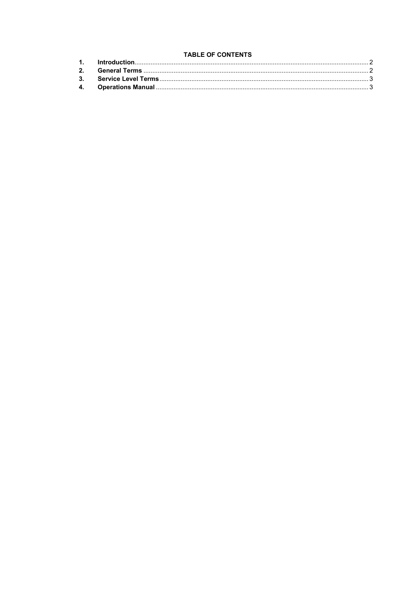### **TABLE OF CONTENTS**

| <b>TABLE OF CONTENTS</b> |               |  |  |
|--------------------------|---------------|--|--|
|                          |               |  |  |
|                          | $\mathcal{P}$ |  |  |
|                          |               |  |  |
|                          |               |  |  |
|                          |               |  |  |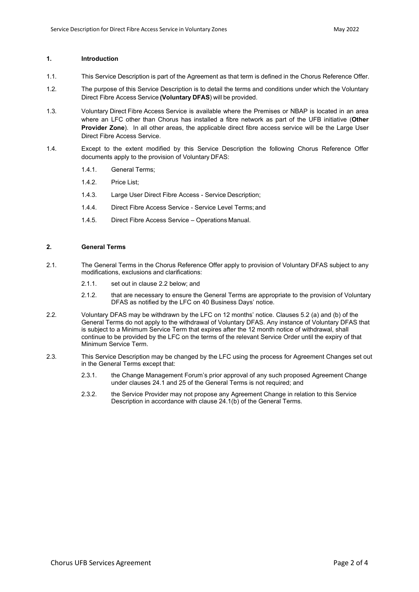#### <span id="page-3-0"></span>**1. Introduction**

- 1.1. This Service Description is part of the Agreement as that term is defined in the Chorus Reference Offer.
- 1.2. The purpose of this Service Description is to detail the terms and conditions under which the Voluntary Direct Fibre Access Service **(Voluntary DFAS**) will be provided.
- 1.3. Voluntary Direct Fibre Access Service is available where the Premises or NBAP is located in an area where an LFC other than Chorus has installed a fibre network as part of the UFB initiative (**Other Provider Zone**). In all other areas, the applicable direct fibre access service will be the Large User Direct Fibre Access Service.
- 1.4. Except to the extent modified by this Service Description the following Chorus Reference Offer documents apply to the provision of Voluntary DFAS:
	- 1.4.1. General Terms;
	- 1.4.2. Price List;
	- 1.4.3. Large User Direct Fibre Access Service Description;
	- 1.4.4. Direct Fibre Access Service Service Level Terms; and
	- 1.4.5. Direct Fibre Access Service Operations Manual.

#### <span id="page-3-1"></span>**2. General Terms**

- 2.1. The General Terms in the Chorus Reference Offer apply to provision of Voluntary DFAS subject to any modifications, exclusions and clarifications:
	- 2.1.1. set out in clause 2.2 below; and
	- 2.1.2. that are necessary to ensure the General Terms are appropriate to the provision of Voluntary DFAS as notified by the LFC on 40 Business Days' notice.
- 2.2. Voluntary DFAS may be withdrawn by the LFC on 12 months' notice. Clauses 5.2 (a) and (b) of the General Terms do not apply to the withdrawal of Voluntary DFAS. Any instance of Voluntary DFAS that is subject to a Minimum Service Term that expires after the 12 month notice of withdrawal, shall continue to be provided by the LFC on the terms of the relevant Service Order until the expiry of that Minimum Service Term.
- 2.3. This Service Description may be changed by the LFC using the process for Agreement Changes set out in the General Terms except that:
	- 2.3.1. the Change Management Forum's prior approval of any such proposed Agreement Change under clauses 24.1 and 25 of the General Terms is not required; and
	- 2.3.2. the Service Provider may not propose any Agreement Change in relation to this Service Description in accordance with clause 24.1(b) of the General Terms.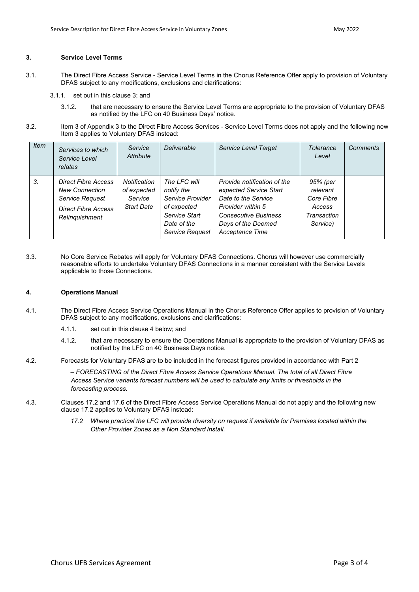#### <span id="page-4-0"></span>**3. Service Level Terms**

- 3.1. The Direct Fibre Access Service Service Level Terms in the Chorus Reference Offer apply to provision of Voluntary DFAS subject to any modifications, exclusions and clarifications:
	- 3.1.1. set out in this clause 3; and
		- 3.1.2. that are necessary to ensure the Service Level Terms are appropriate to the provision of Voluntary DFAS as notified by the LFC on 40 Business Days' notice.
- 3.2. Item 3 of Appendix 3 to the Direct Fibre Access Services Service Level Terms does not apply and the following new Item 3 applies to Voluntary DFAS instead:

| <i>Item</i> | Services to which<br>Service Level<br>relates                                                                   | Service<br>Attribute                                        | Deliverable                                                                                                      | Service Level Target                                                                                                                                                             | Tolerance<br>Level                                                      | Comments |
|-------------|-----------------------------------------------------------------------------------------------------------------|-------------------------------------------------------------|------------------------------------------------------------------------------------------------------------------|----------------------------------------------------------------------------------------------------------------------------------------------------------------------------------|-------------------------------------------------------------------------|----------|
| 3.          | <b>Direct Fibre Access</b><br><b>New Connection</b><br>Service Request<br>Direct Fibre Access<br>Relinquishment | Notification<br>of expected<br>Service<br><b>Start Date</b> | The LFC will<br>notify the<br>Service Provider<br>of expected<br>Service Start<br>Date of the<br>Service Request | Provide notification of the<br>expected Service Start<br>Date to the Service<br><b>Provider within 5</b><br><b>Consecutive Business</b><br>Days of the Deemed<br>Acceptance Time | 95% (per<br>relevant<br>Core Fibre<br>Access<br>Transaction<br>Service) |          |

3.3. No Core Service Rebates will apply for Voluntary DFAS Connections. Chorus will however use commercially reasonable efforts to undertake Voluntary DFAS Connections in a manner consistent with the Service Levels applicable to those Connections.

#### <span id="page-4-1"></span>**4. Operations Manual**

- 4.1. The Direct Fibre Access Service Operations Manual in the Chorus Reference Offer applies to provision of Voluntary DFAS subject to any modifications, exclusions and clarifications:
	- 4.1.1. set out in this clause 4 below; and
	- 4.1.2. that are necessary to ensure the Operations Manual is appropriate to the provision of Voluntary DFAS as notified by the LFC on 40 Business Days notice.
- 4.2. Forecasts for Voluntary DFAS are to be included in the forecast figures provided in accordance with Part 2

*– FORECASTING of the Direct Fibre Access Service Operations Manual. The total of all Direct Fibre Access Service variants forecast numbers will be used to calculate any limits or thresholds in the forecasting process.*

- 4.3. Clauses 17.2 and 17.6 of the Direct Fibre Access Service Operations Manual do not apply and the following new clause 17.2 applies to Voluntary DFAS instead:
	- 17.2 Where practical the LFC will provide diversity on request if available for Premises located within the *Other Provider Zones as a Non Standard Install.*